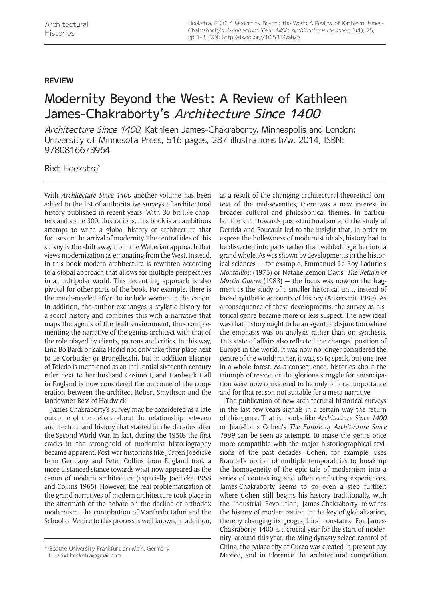## **Review**

## Modernity Beyond the West: A Review of Kathleen James-Chakraborty's Architecture Since 1400

Architecture Since 1400, Kathleen James-Chakraborty, Minneapolis and London: University of Minnesota Press, 516 pages, 287 illustrations b/w, 2014, ISBN: 9780816673964

Rixt Hoekstra\*

With *Architecture Since 1400* another volume has been added to the list of authoritative surveys of architectural history published in recent years. With 30 bit-like chapters and some 300 illustrations, this book is an ambitious attempt to write a global history of architecture that focuses on the arrival of modernity. The central idea of this survey is the shift away from the Weberian approach that views modernization as emanating from the West. Instead, in this book modern architecture is rewritten according to a global approach that allows for multiple perspectives in a multipolar world. This decentring approach is also pivotal for other parts of the book. For example, there is the much-needed effort to include women in the canon. In addition, the author exchanges a stylistic history for a social history and combines this with a narrative that maps the agents of the built environment, thus complementing the narrative of the genius-architect with that of the role played by clients, patrons and critics. In this way, Lina Bo Bardi or Zaha Hadid not only take their place next to Le Corbusier or Brunelleschi, but in addition Eleanor of Toledo is mentioned as an influential sixteenth-century ruler next to her husband Cosimo I, and Hardwick Hall in England is now considered the outcome of the cooperation between the architect Robert Smythson and the landowner Bess of Hardwick.

James-Chakraborty's survey may be considered as a late outcome of the debate about the relationship between architecture and history that started in the decades after the Second World War. In fact, during the 1950s the first cracks in the stronghold of modernist historiography became apparent. Post-war historians like Jürgen Joedicke from Germany and Peter Collins from England took a more distanced stance towards what now appeared as the canon of modern architecture (especially Joedicke 1958 and Collins 1965). However, the real problematization of the grand narratives of modern architecture took place in the aftermath of the debate on the decline of orthodox modernism. The contribution of Manfredo Tafuri and the School of Venice to this process is well known; in addition,

[titiarixt.hoekstra@gmail.com](mailto:titiarixt.hoekstra@gmail.com)

as a result of the changing architectural-theoretical context of the mid-seventies, there was a new interest in broader cultural and philosophical themes. In particular, the shift towards post-structuralism and the study of Derrida and Foucault led to the insight that, in order to expose the hollowness of modernist ideals, history had to be dissected into parts rather than welded together into a grand whole. As was shown by developments in the historical sciences — for example, Emmanuel Le Roy Ladurie's *Montaillou* (1975) or Natalie Zemon Davis' *The Return of Martin Guerre* (1983) — the focus was now on the fragment as the study of a smaller historical unit, instead of broad synthetic accounts of history (Ankersmit 1989). As a consequence of these developments, the survey as historical genre became more or less suspect. The new ideal was that history ought to be an agent of disjunction where the emphasis was on analysis rather than on synthesis. This state of affairs also reflected the changed position of Europe in the world. It was now no longer considered the centre of the world: rather, it was, so to speak, but one tree in a whole forest. As a consequence, histories about the triumph of reason or the glorious struggle for emancipation were now considered to be only of local importance and for that reason not suitable for a meta-narrative.

The publication of new architectural historical surveys in the last few years signals in a certain way the return of this genre. That is, books like *Architecture Since 1400* or Jean-Louis Cohen's *The Future of Architecture Since 1889* can be seen as attempts to make the genre once more compatible with the major historiographical revisions of the past decades. Cohen, for example, uses Braudel's notion of multiple temporalities to break up the homogeneity of the epic tale of modernism into a series of contrasting and often conflicting experiences. James-Chakraborty seems to go even a step further: where Cohen still begins his history traditionally, with the Industrial Revolution, James-Chakraborty re-writes the history of modernization in the key of globalization, thereby changing its geographical constants. For James-Chakraborty, 1400 is a crucial year for the start of modernity: around this year, the Ming dynasty seized control of China, the palace city of Cuczo was created in present day Goethe University Frankfurt am Main, Germany<br>Mexico, and in Florence the architectural competition<br>Mexico, and in Florence the architectural competition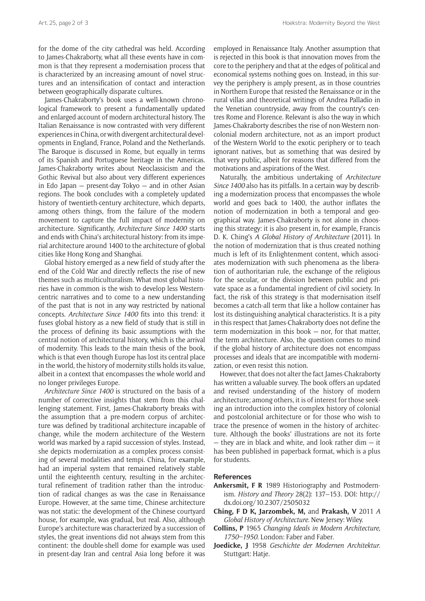for the dome of the city cathedral was held. According to James-Chakraborty, what all these events have in common is that they represent a modernisation process that is characterized by an increasing amount of novel structures and an intensification of contact and interaction between geographically disparate cultures.

James-Chakraborty's book uses a well-known chronological framework to present a fundamentally updated and enlarged account of modern architectural history. The Italian Renaissance is now contrasted with very different experiences in China, or with divergent architectural developments in England, France, Poland and the Netherlands. The Baroque is discussed in Rome, but equally in terms of its Spanish and Portuguese heritage in the Americas. James-Chakraborty writes about Neoclassicism and the Gothic Revival but also about very different experiences in Edo Japan — present-day Tokyo — and in other Asian regions. The book concludes with a completely updated history of twentieth-century architecture, which departs, among others things, from the failure of the modern movement to capture the full impact of modernity on architecture. Significantly, *Architecture Since 1400* starts and ends with China's architectural history: from its imperial architecture around 1400 to the architecture of global cities like Hong Kong and Shanghai.

Global history emerged as a new field of study after the end of the Cold War and directly reflects the rise of new themes such as multiculturalism. What most global histories have in common is the wish to develop less Westerncentric narratives and to come to a new understanding of the past that is not in any way restricted by national concepts. *Architecture Since 1400* fits into this trend: it fuses global history as a new field of study that is still in the process of defining its basic assumptions with the central notion of architectural history, which is the arrival of modernity. This leads to the main thesis of the book, which is that even though Europe has lost its central place in the world, the history of modernity stills holds its value, albeit in a context that encompasses the whole world and no longer privileges Europe.

*Architecture Since 1400* is structured on the basis of a number of corrective insights that stem from this challenging statement. First, James-Chakraborty breaks with the assumption that a pre-modern corpus of architecture was defined by traditional architecture incapable of change, while the modern architecture of the Western world was marked by a rapid succession of styles. Instead, she depicts modernization as a complex process consisting of several modalities and tempi. China, for example, had an imperial system that remained relatively stable until the eighteenth century, resulting in the architectural refinement of tradition rather than the introduction of radical changes as was the case in Renaissance Europe. However, at the same time, Chinese architecture was not static: the development of the Chinese courtyard house, for example, was gradual, but real. Also, although Europe's architecture was characterized by a succession of styles, the great inventions did not always stem from this continent: the double-shell dome for example was used in present-day Iran and central Asia long before it was

employed in Renaissance Italy. Another assumption that is rejected in this book is that innovation moves from the core to the periphery and that at the edges of political and economical systems nothing goes on. Instead, in this survey the periphery is amply present, as in those countries in Northern Europe that resisted the Renaissance or in the rural villas and theoretical writings of Andrea Palladio in the Venetian countryside, away from the country's centres Rome and Florence. Relevant is also the way in which James-Chakraborty describes the rise of non-Western noncolonial modern architecture, not as an import product of the Western World to the exotic periphery or to teach ignorant natives, but as something that was desired by that very public, albeit for reasons that differed from the motivations and aspirations of the West.

Naturally, the ambitious undertaking of *Architecture Since 1400* also has its pitfalls. In a certain way by describing a modernization process that encompasses the whole world and goes back to 1400, the author inflates the notion of modernization in both a temporal and geographical way. James-Chakraborty is not alone in choosing this strategy: it is also present in, for example, Francis D. K. Ching's *A Global History of Architecture* (2011). In the notion of modernization that is thus created nothing much is left of its Enlightenment content, which associates modernization with such phenomena as the liberation of authoritarian rule, the exchange of the religious for the secular, or the division between public and private space as a fundamental ingredient of civil society. In fact, the risk of this strategy is that modernisation itself becomes a catch-all term that like a hollow container has lost its distinguishing analytical characteristics. It is a pity in this respect that James-Chakraborty does not define the term modernization in this book — nor, for that matter, the term architecture. Also, the question comes to mind if the global history of architecture does not encompass processes and ideals that are incompatible with modernization, or even resist this notion.

However, that does not alter the fact James-Chakraborty has written a valuable survey. The book offers an updated and revised understanding of the history of modern architecture; among others, it is of interest for those seeking an introduction into the complex history of colonial and postcolonial architecture or for those who wish to trace the presence of women in the history of architecture. Although the books' illustrations are not its forte  $-$  they are in black and white, and look rather dim  $-$  it has been published in paperback format, which is a plus for students.

## **References**

- **Ankersmit, F R** 1989 Historiography and Postmodernism. *History and Theory* 28(2): 137–153. DOI: [http://](http://dx.doi.org/10.2307/2505032) [dx.doi.org/10.2307/2505032](http://dx.doi.org/10.2307/2505032)
- **Ching, F D K, Jarzombek, M,** and **Prakash, V** 2011 *A Global History of Architecture*. New Jersey: Wiley.
- **Collins, P** 1965 *Changing Ideals in Modern Architecture, 1750–1950*. London: Faber and Faber.
- **Joedicke, J** 1958 *Geschichte der Modernen Architektur.*  Stuttgart: Hatje.